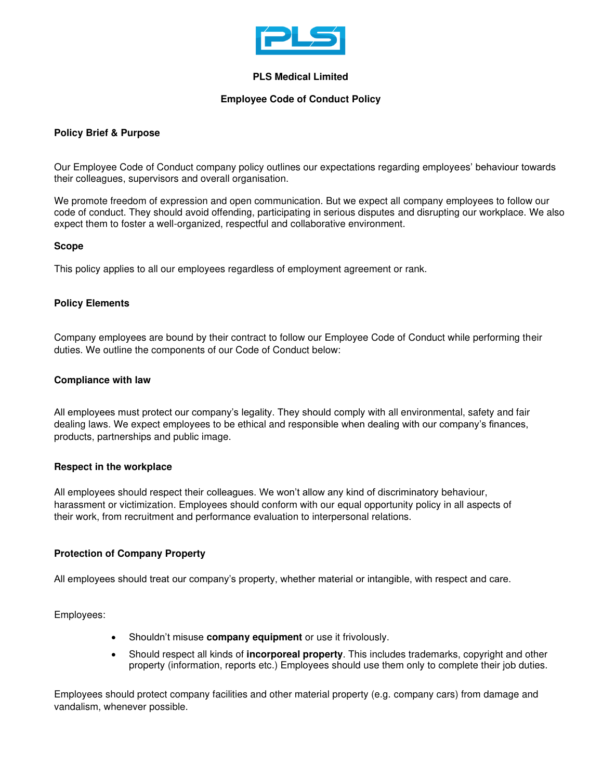

## **PLS Medical Limited**

## **Employee Code of Conduct Policy**

# **Policy Brief & Purpose**

Our Employee Code of Conduct company policy outlines our expectations regarding employees' behaviour towards their colleagues, supervisors and overall organisation.

We promote freedom of expression and open communication. But we expect all company employees to follow our code of conduct. They should avoid offending, participating in serious disputes and disrupting our workplace. We also expect them to foster a well-organized, respectful and collaborative environment.

## **Scope**

This policy applies to all our employees regardless of employment agreement or rank.

## **Policy Elements**

Company employees are bound by their contract to follow our Employee Code of Conduct while performing their duties. We outline the components of our Code of Conduct below:

#### **Compliance with law**

All employees must protect our company's legality. They should comply with all environmental, safety and fair dealing laws. We expect employees to be ethical and responsible when dealing with our company's finances, products, partnerships and public image.

#### **Respect in the workplace**

All employees should respect their colleagues. We won't allow any kind of discriminatory behaviour, [harassment o](https://resources.workable.com/workplace-harassment-company-policy)r victimization. Employees should conform with our equal opportunity policy in all aspects of their work, from recruitment and performance evaluation to interpersonal relations.

#### **Protection of Company Property**

All employees should treat our company's property, whether material or intangible, with respect and care.

Employees:

- Shouldn't misuse **company equipment** or use it frivolously.
- Should respect all kinds of **incorporeal property**. This includes trademarks, copyright and other property (information, reports etc.) Employees should use them only to complete their job duties.

Employees should protect company facilities and other material property (e.g. company cars) from damage and vandalism, whenever possible.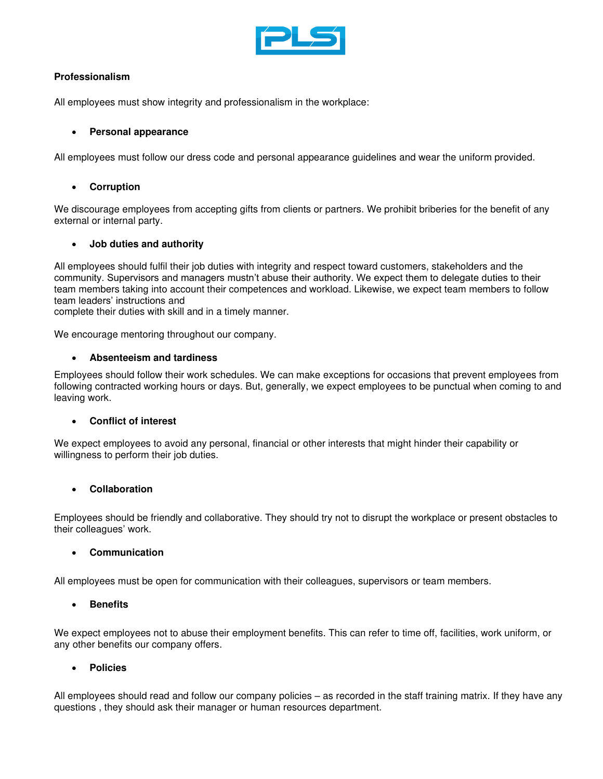

# **Professionalism**

All employees must show integrity and professionalism in the workplace:

# • **Personal appearance**

All employees must follow our dress code and personal appearance guidelines and wear the uniform provided.

# • **Corruption**

We discourage employees from accepting gifts from clients or partners. We prohibit briberies for the benefit of any external or internal party.

# • **Job duties and authority**

All employees should fulfil their job duties with integrity and respect toward customers, stakeholders and the community. Supervisors and managers mustn't abuse their authority. We expect them to delegate duties to their team members taking into account their competences and workload. Likewise, we expect team members to follow team leaders' instructions and

complete their duties with skill and in a timely manner.

We encourage mentoring throughout our company.

# • **Absenteeism and tardiness**

Employees should follow their work schedules. We can make exceptions for occasions that prevent employees from following contracted working hours or days. But, generally, we expect employees to be punctual when coming to and leaving work.

# • **Conflict of interest**

We expect employees to avoid any personal, financial or other interests that might hinder their capability or willingness to perform their job duties.

# • **Collaboration**

Employees should be friendly and collaborative. They should try not to disrupt the workplace or present obstacles to their colleagues' work.

# • **Communication**

All employees must be open for communication with their colleagues, supervisors or team members.

# • **Benefits**

We expect employees not to abuse their employment benefits. This can refer to time off, facilities, work uniform, or any other benefits our company offers.

# • **Policies**

All employees should read and follow our company policies – as recorded in the staff training matrix. If they have any questions , they should ask their manager or human resources department.